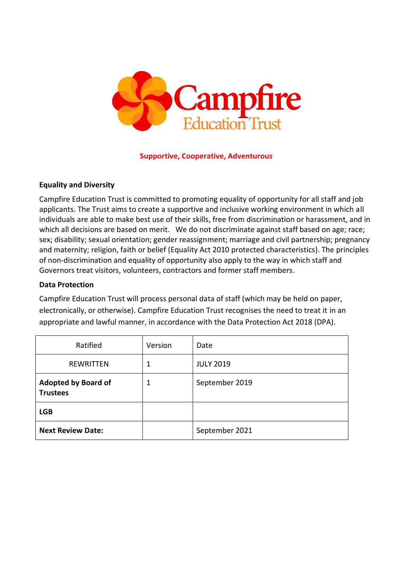

#### **Supportive, Cooperative, Adventurous**

#### **Equality and Diversity**

Campfire Education Trust is committed to promoting equality of opportunity for all staff and job applicants. The Trust aims to create a supportive and inclusive working environment in which all individuals are able to make best use of their skills, free from discrimination or harassment, and in which all decisions are based on merit. We do not discriminate against staff based on age; race; sex; disability; sexual orientation; gender reassignment; marriage and civil partnership; pregnancy and maternity; religion, faith or belief (Equality Act 2010 protected characteristics). The principles of non-discrimination and equality of opportunity also apply to the way in which staff and Governors treat visitors, volunteers, contractors and former staff members.

#### **Data Protection**

Campfire Education Trust will process personal data of staff (which may be held on paper, electronically, or otherwise). Campfire Education Trust recognises the need to treat it in an appropriate and lawful manner, in accordance with the Data Protection Act 2018 (DPA).

| Ratified                                      | Version | Date             |
|-----------------------------------------------|---------|------------------|
| <b>REWRITTEN</b>                              |         | <b>JULY 2019</b> |
| <b>Adopted by Board of</b><br><b>Trustees</b> | 1       | September 2019   |
| <b>LGB</b>                                    |         |                  |
| <b>Next Review Date:</b>                      |         | September 2021   |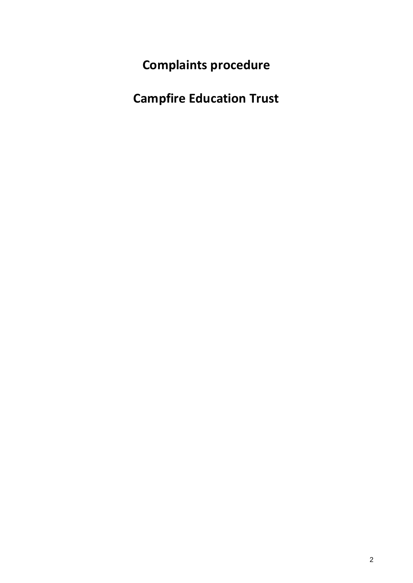**Complaints procedure**

**Campfire Education Trust**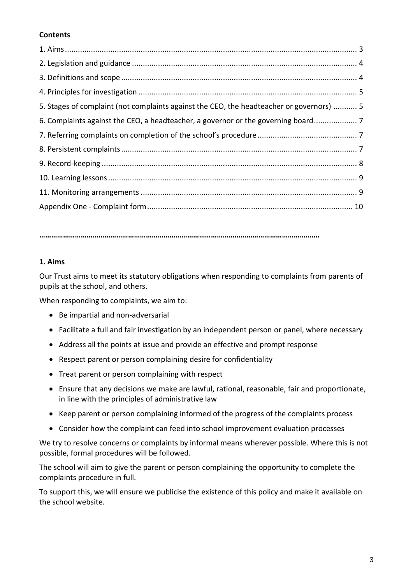# **Contents**

| 5. Stages of complaint (not complaints against the CEO, the headteacher or governors)  5 |  |
|------------------------------------------------------------------------------------------|--|
| 6. Complaints against the CEO, a headteacher, a governor or the governing board          |  |
|                                                                                          |  |
|                                                                                          |  |
|                                                                                          |  |
|                                                                                          |  |
|                                                                                          |  |
|                                                                                          |  |

**…………………………………………………………………………………………………………………………….**

#### **1. Aims**

Our Trust aims to meet its statutory obligations when responding to complaints from parents of pupils at the school, and others.

When responding to complaints, we aim to:

- Be impartial and non-adversarial
- Facilitate a full and fair investigation by an independent person or panel, where necessary
- Address all the points at issue and provide an effective and prompt response
- Respect parent or person complaining desire for confidentiality
- Treat parent or person complaining with respect
- Ensure that any decisions we make are lawful, rational, reasonable, fair and proportionate, in line with the principles of administrative law
- Keep parent or person complaining informed of the progress of the complaints process
- Consider how the complaint can feed into school improvement evaluation processes

We try to resolve concerns or complaints by informal means wherever possible. Where this is not possible, formal procedures will be followed.

The school will aim to give the parent or person complaining the opportunity to complete the complaints procedure in full.

To support this, we will ensure we publicise the existence of this policy and make it available on the school website.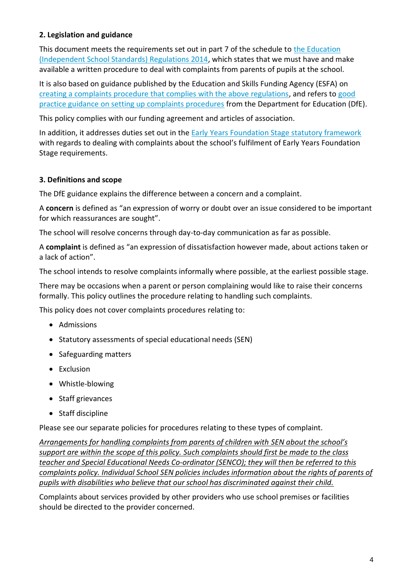# **2. Legislation and guidance**

This document meets the requirements set out in part 7 of the schedule to the Education [\(Independent School Standards\) Regulations 2014,](http://www.legislation.gov.uk/uksi/2014/3283/schedule/made) which states that we must have and make available a written procedure to deal with complaints from parents of pupils at the school.

It is also based on guidance published by the Education and Skills Funding Agency (ESFA) on creating a complaints [procedure that complies with the above regulations,](https://www.gov.uk/government/publications/setting-up-an-academies-complaints-procedure) and refers to [good](https://www.gov.uk/government/publications/school-complaints-procedures)  [practice guidance on setting up complaints procedures](https://www.gov.uk/government/publications/school-complaints-procedures) from the Department for Education (DfE).

This policy complies with our funding agreement and articles of association.

In addition, it addresses duties set out in the [Early Years Foundation Stage statutory framework](https://www.gov.uk/government/publications/early-years-foundation-stage-framework--2) with regards to dealing with complaints about the school's fulfilment of Early Years Foundation Stage requirements.

# **3. Definitions and scope**

The DfE guidance explains the difference between a concern and a complaint.

A **concern** is defined as "an expression of worry or doubt over an issue considered to be important for which reassurances are sought".

The school will resolve concerns through day-to-day communication as far as possible.

A **complaint** is defined as "an expression of dissatisfaction however made, about actions taken or a lack of action".

The school intends to resolve complaints informally where possible, at the earliest possible stage.

There may be occasions when a parent or person complaining would like to raise their concerns formally. This policy outlines the procedure relating to handling such complaints.

This policy does not cover complaints procedures relating to:

- Admissions
- Statutory assessments of special educational needs (SEN)
- Safeguarding matters
- Exclusion
- Whistle-blowing
- Staff grievances
- Staff discipline

Please see our separate policies for procedures relating to these types of complaint.

*Arrangements for handling complaints from parents of children with SEN about the school's support are within the scope of this policy. Such complaints should first be made to the class teacher and Special Educational Needs Co-ordinator (SENCO); they will then be referred to this complaints policy. Individual School SEN policies includes information about the rights of parents of pupils with disabilities who believe that our school has discriminated against their child.*

Complaints about services provided by other providers who use school premises or facilities should be directed to the provider concerned.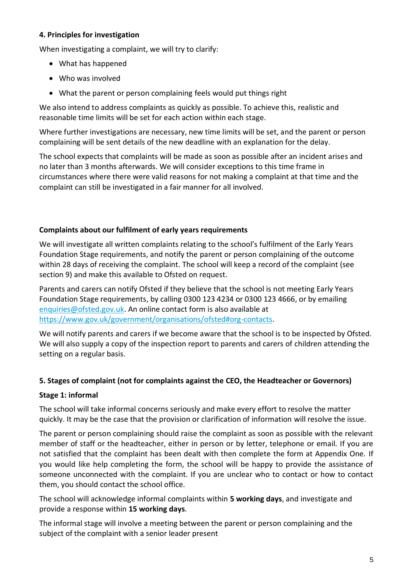#### **4. Principles for investigation**

When investigating a complaint, we will try to clarify:

- What has happened
- Who was involved
- What the parent or person complaining feels would put things right

We also intend to address complaints as quickly as possible. To achieve this, realistic and reasonable time limits will be set for each action within each stage.

Where further investigations are necessary, new time limits will be set, and the parent or person complaining will be sent details of the new deadline with an explanation for the delay.

The school expects that complaints will be made as soon as possible after an incident arises and no later than 3 months afterwards. We will consider exceptions to this time frame in circumstances where there were valid reasons for not making a complaint at that time and the complaint can still be investigated in a fair manner for all involved.

#### **Complaints about our fulfilment of early years requirements**

We will investigate all written complaints relating to the school's fulfilment of the Early Years Foundation Stage requirements, and notify the parent or person complaining of the outcome within 28 days of receiving the complaint. The school will keep a record of the complaint (see section 9) and make this available to Ofsted on request.

Parents and carers can notify Ofsted if they believe that the school is not meeting Early Years Foundation Stage requirements, by calling 0300 123 4234 or 0300 123 4666, or by emailing [enquiries@ofsted.gov.uk.](mailto:enquiries@ofsted.gov.uk) An online contact form is also available at [https://www.gov.uk/government/organisations/ofsted#org-contacts.](https://www.gov.uk/government/organisations/ofsted#org-contacts)

We will notify parents and carers if we become aware that the school is to be inspected by Ofsted. We will also supply a copy of the inspection report to parents and carers of children attending the setting on a regular basis.

# **5. Stages of complaint (not for complaints against the CEO, the Headteacher or Governors)**

# **Stage 1: informal**

The school will take informal concerns seriously and make every effort to resolve the matter quickly. It may be the case that the provision or clarification of information will resolve the issue.

The parent or person complaining should raise the complaint as soon as possible with the relevant member of staff or the headteacher, either in person or by letter, telephone or email. If you are not satisfied that the complaint has been dealt with then complete the form at Appendix One. If you would like help completing the form, the school will be happy to provide the assistance of someone unconnected with the complaint. If you are unclear who to contact or how to contact them, you should contact the school office.

The school will acknowledge informal complaints within **5 working days**, and investigate and provide a response within **15 working days**.

The informal stage will involve a meeting between the parent or person complaining and the subject of the complaint with a senior leader present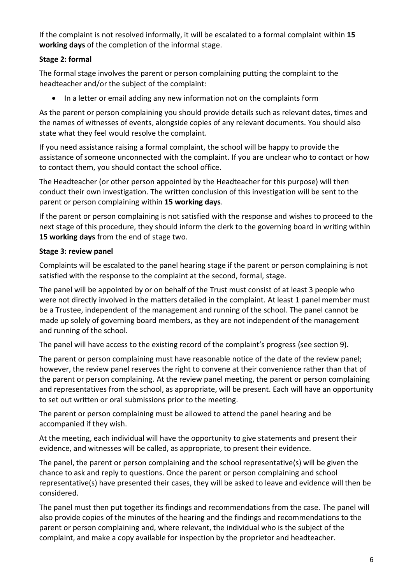If the complaint is not resolved informally, it will be escalated to a formal complaint within **15 working days** of the completion of the informal stage.

# **Stage 2: formal**

The formal stage involves the parent or person complaining putting the complaint to the headteacher and/or the subject of the complaint:

• In a letter or email adding any new information not on the complaints form

As the parent or person complaining you should provide details such as relevant dates, times and the names of witnesses of events, alongside copies of any relevant documents. You should also state what they feel would resolve the complaint.

If you need assistance raising a formal complaint, the school will be happy to provide the assistance of someone unconnected with the complaint. If you are unclear who to contact or how to contact them, you should contact the school office.

The Headteacher (or other person appointed by the Headteacher for this purpose) will then conduct their own investigation. The written conclusion of this investigation will be sent to the parent or person complaining within **15 working days**.

If the parent or person complaining is not satisfied with the response and wishes to proceed to the next stage of this procedure, they should inform the clerk to the governing board in writing within **15 working days** from the end of stage two.

# **Stage 3: review panel**

Complaints will be escalated to the panel hearing stage if the parent or person complaining is not satisfied with the response to the complaint at the second, formal, stage.

The panel will be appointed by or on behalf of the Trust must consist of at least 3 people who were not directly involved in the matters detailed in the complaint. At least 1 panel member must be a Trustee, independent of the management and running of the school. The panel cannot be made up solely of governing board members, as they are not independent of the management and running of the school.

The panel will have access to the existing record of the complaint's progress (see section 9).

The parent or person complaining must have reasonable notice of the date of the review panel; however, the review panel reserves the right to convene at their convenience rather than that of the parent or person complaining. At the review panel meeting, the parent or person complaining and representatives from the school, as appropriate, will be present. Each will have an opportunity to set out written or oral submissions prior to the meeting.

The parent or person complaining must be allowed to attend the panel hearing and be accompanied if they wish.

At the meeting, each individual will have the opportunity to give statements and present their evidence, and witnesses will be called, as appropriate, to present their evidence.

The panel, the parent or person complaining and the school representative(s) will be given the chance to ask and reply to questions. Once the parent or person complaining and school representative(s) have presented their cases, they will be asked to leave and evidence will then be considered.

The panel must then put together its findings and recommendations from the case. The panel will also provide copies of the minutes of the hearing and the findings and recommendations to the parent or person complaining and, where relevant, the individual who is the subject of the complaint, and make a copy available for inspection by the proprietor and headteacher.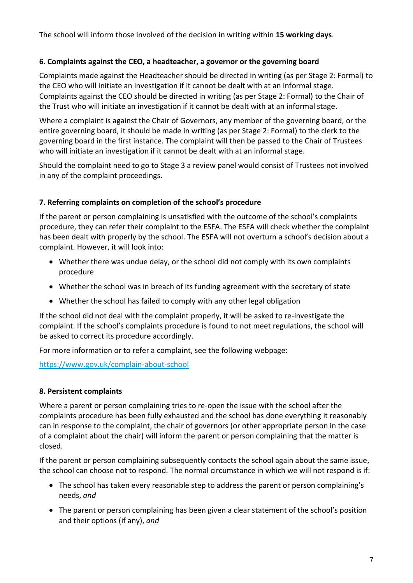The school will inform those involved of the decision in writing within **15 working days**.

#### **6. Complaints against the CEO, a headteacher, a governor or the governing board**

Complaints made against the Headteacher should be directed in writing (as per Stage 2: Formal) to the CEO who will initiate an investigation if it cannot be dealt with at an informal stage. Complaints against the CEO should be directed in writing (as per Stage 2: Formal) to the Chair of the Trust who will initiate an investigation if it cannot be dealt with at an informal stage.

Where a complaint is against the Chair of Governors, any member of the governing board, or the entire governing board, it should be made in writing (as per Stage 2: Formal) to the clerk to the governing board in the first instance. The complaint will then be passed to the Chair of Trustees who will initiate an investigation if it cannot be dealt with at an informal stage.

Should the complaint need to go to Stage 3 a review panel would consist of Trustees not involved in any of the complaint proceedings.

#### **7. Referring complaints on completion of the school's procedure**

If the parent or person complaining is unsatisfied with the outcome of the school's complaints procedure, they can refer their complaint to the ESFA. The ESFA will check whether the complaint has been dealt with properly by the school. The ESFA will not overturn a school's decision about a complaint. However, it will look into:

- Whether there was undue delay, or the school did not comply with its own complaints procedure
- Whether the school was in breach of its funding agreement with the secretary of state
- Whether the school has failed to comply with any other legal obligation

If the school did not deal with the complaint properly, it will be asked to re-investigate the complaint. If the school's complaints procedure is found to not meet regulations, the school will be asked to correct its procedure accordingly.

For more information or to refer a complaint, see the following webpage:

<https://www.gov.uk/complain-about-school>

# **8. Persistent complaints**

Where a parent or person complaining tries to re-open the issue with the school after the complaints procedure has been fully exhausted and the school has done everything it reasonably can in response to the complaint, the chair of governors (or other appropriate person in the case of a complaint about the chair) will inform the parent or person complaining that the matter is closed.

If the parent or person complaining subsequently contacts the school again about the same issue, the school can choose not to respond. The normal circumstance in which we will not respond is if:

- The school has taken every reasonable step to address the parent or person complaining's needs, *and*
- The parent or person complaining has been given a clear statement of the school's position and their options (if any), *and*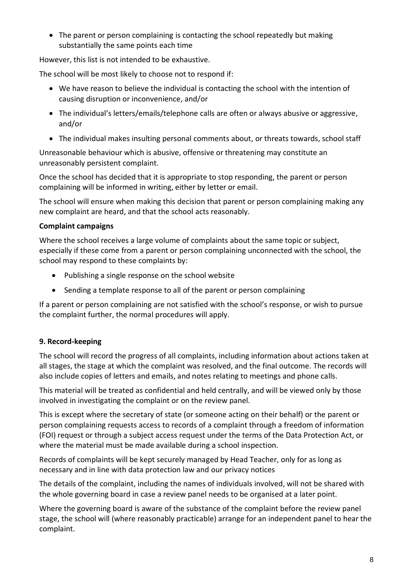• The parent or person complaining is contacting the school repeatedly but making substantially the same points each time

However, this list is not intended to be exhaustive.

The school will be most likely to choose not to respond if:

- We have reason to believe the individual is contacting the school with the intention of causing disruption or inconvenience, and/or
- The individual's letters/emails/telephone calls are often or always abusive or aggressive, and/or
- The individual makes insulting personal comments about, or threats towards, school staff

Unreasonable behaviour which is abusive, offensive or threatening may constitute an unreasonably persistent complaint.

Once the school has decided that it is appropriate to stop responding, the parent or person complaining will be informed in writing, either by letter or email.

The school will ensure when making this decision that parent or person complaining making any new complaint are heard, and that the school acts reasonably.

# **Complaint campaigns**

Where the school receives a large volume of complaints about the same topic or subject, especially if these come from a parent or person complaining unconnected with the school, the school may respond to these complaints by:

- Publishing a single response on the school website
- Sending a template response to all of the parent or person complaining

If a parent or person complaining are not satisfied with the school's response, or wish to pursue the complaint further, the normal procedures will apply.

# **9. Record-keeping**

The school will record the progress of all complaints, including information about actions taken at all stages, the stage at which the complaint was resolved, and the final outcome. The records will also include copies of letters and emails, and notes relating to meetings and phone calls.

This material will be treated as confidential and held centrally, and will be viewed only by those involved in investigating the complaint or on the review panel.

This is except where the secretary of state (or someone acting on their behalf) or the parent or person complaining requests access to records of a complaint through a freedom of information (FOI) request or through a subject access request under the terms of the Data Protection Act, or where the material must be made available during a school inspection.

Records of complaints will be kept securely managed by Head Teacher, only for as long as necessary and in line with data protection law and our privacy notices

The details of the complaint, including the names of individuals involved, will not be shared with the whole governing board in case a review panel needs to be organised at a later point.

Where the governing board is aware of the substance of the complaint before the review panel stage, the school will (where reasonably practicable) arrange for an independent panel to hear the complaint.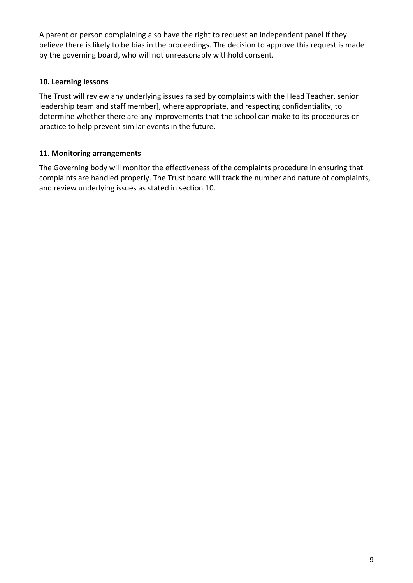A parent or person complaining also have the right to request an independent panel if they believe there is likely to be bias in the proceedings. The decision to approve this request is made by the governing board, who will not unreasonably withhold consent.

#### **10. Learning lessons**

The Trust will review any underlying issues raised by complaints with the Head Teacher, senior leadership team and staff member], where appropriate, and respecting confidentiality, to determine whether there are any improvements that the school can make to its procedures or practice to help prevent similar events in the future.

# **11. Monitoring arrangements**

The Governing body will monitor the effectiveness of the complaints procedure in ensuring that complaints are handled properly. The Trust board will track the number and nature of complaints, and review underlying issues as stated in section 10.